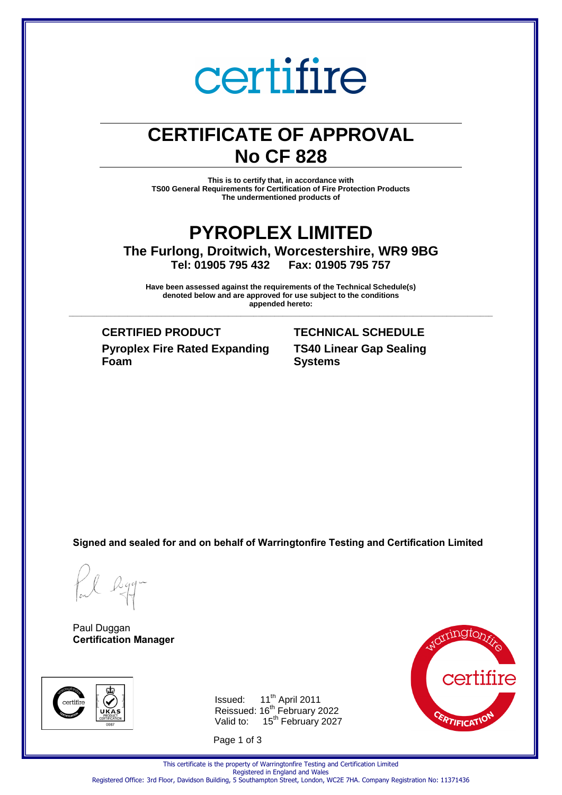## certifire

## **CERTIFICATE OF APPROVAL No CF 828**

**This is to certify that, in accordance with TS00 General Requirements for Certification of Fire Protection Products The undermentioned products of** 

### **PYROPLEX LIMITED The Furlong, Droitwich, Worcestershire, WR9 9BG Tel: 01905 795 432 Fax: 01905 795 757**

**Have been assessed against the requirements of the Technical Schedule(s) denoted below and are approved for use subject to the conditions appended hereto: \_\_\_\_\_\_\_\_\_\_\_\_\_\_\_\_\_\_\_\_\_\_\_\_\_\_\_\_\_\_\_\_\_\_\_\_\_\_\_\_\_\_\_\_\_\_\_\_\_\_\_\_\_\_\_\_\_\_\_\_\_\_\_\_\_\_\_\_\_\_\_\_\_\_\_\_\_\_\_\_\_\_\_\_\_\_\_\_\_\_\_\_\_\_\_\_\_\_\_\_\_**

**Pyroplex Fire Rated Expanding Foam**

### **CERTIFIED PRODUCT TECHNICAL SCHEDULE TS40 Linear Gap Sealing Systems**

**Signed and sealed for and on behalf of Warringtonfire Testing and Certification Limited**

Rgg.

Paul Duggan **Certification Manager**



Issued: 11<sup>th</sup> April 2011 Reissued: 16<sup>th</sup> February 2022 Valid to: 15<sup>th</sup> February 2027

Page 1 of 3



This certificate is the property of Warringtonfire Testing and Certification Limited Registered in England and Wales Registered Office: 3rd Floor, Davidson Building, 5 Southampton Street, London, WC2E 7HA. Company Registration No: 11371436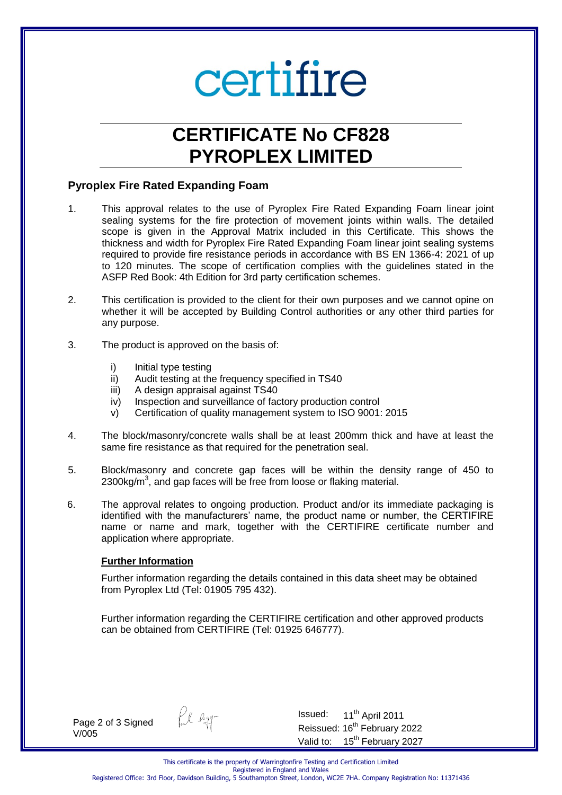## certifire

## **CERTIFICATE No CF828 PYROPLEX LIMITED**

#### **Pyroplex Fire Rated Expanding Foam**

- 1. This approval relates to the use of Pyroplex Fire Rated Expanding Foam linear joint sealing systems for the fire protection of movement joints within walls. The detailed scope is given in the Approval Matrix included in this Certificate. This shows the thickness and width for Pyroplex Fire Rated Expanding Foam linear joint sealing systems required to provide fire resistance periods in accordance with BS EN 1366-4: 2021 of up to 120 minutes. The scope of certification complies with the guidelines stated in the ASFP Red Book: 4th Edition for 3rd party certification schemes.
- 2. This certification is provided to the client for their own purposes and we cannot opine on whether it will be accepted by Building Control authorities or any other third parties for any purpose.
- 3. The product is approved on the basis of:
	- i) Initial type testing
	- ii) Audit testing at the frequency specified in TS40
	- iii) A design appraisal against TS40
	- iv) Inspection and surveillance of factory production control
	- v) Certification of quality management system to ISO 9001: 2015
- 4. The block/masonry/concrete walls shall be at least 200mm thick and have at least the same fire resistance as that required for the penetration seal.
- 5. Block/masonry and concrete gap faces will be within the density range of 450 to 2300kg/m<sup>3</sup>, and gap faces will be free from loose or flaking material.
- 6. The approval relates to ongoing production. Product and/or its immediate packaging is identified with the manufacturers' name, the product name or number, the CERTIFIRE name or name and mark, together with the CERTIFIRE certificate number and application where appropriate.

#### **Further Information**

Further information regarding the details contained in this data sheet may be obtained from Pyroplex Ltd (Tel: 01905 795 432).

Further information regarding the CERTIFIRE certification and other approved products can be obtained from CERTIFIRE (Tel: 01925 646777).

Page 2 of 3 Signed V/005



Issued:  $11<sup>th</sup>$  April 2011 Reissued: 16<sup>th</sup> February 2022 Valid to: 15<sup>th</sup> February 2027